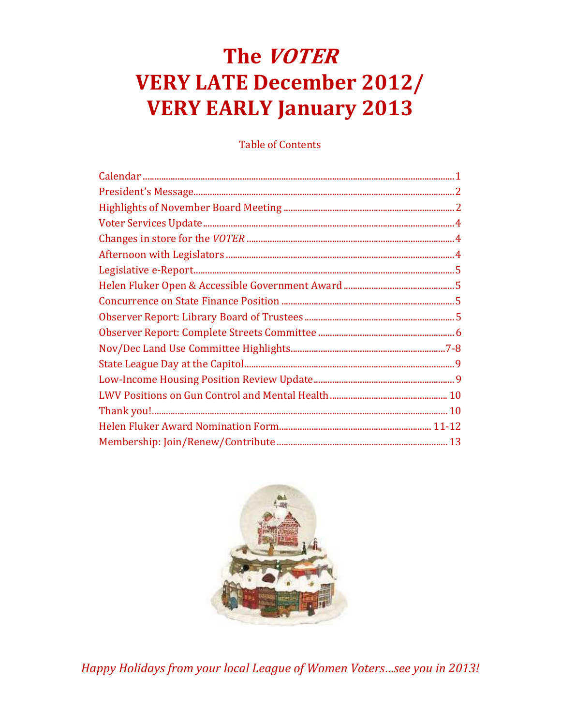# The VOTER **VERY LATE December 2012/ VERY EARLY January 2013**

**Table of Contents** 



Happy Holidays from your local League of Women Voters...see you in 2013!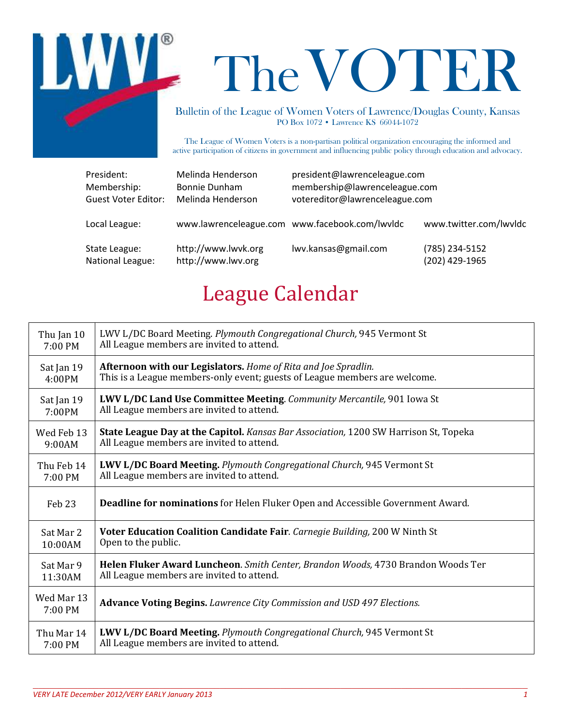

# TheVOTER

Bulletin of the League of Women Voters of Lawrence/Douglas County, Kansas PO Box 1072 • Lawrence KS 66044-1072

The League of Women Voters is a non-partisan political organization encouraging the informed and active participation of citizens in government and influencing public policy through education and advocacy.

| President:                 | Melinda Henderson   | president@lawrenceleague.com                   |                        |
|----------------------------|---------------------|------------------------------------------------|------------------------|
| Membership:                | Bonnie Dunham       | membership@lawrenceleague.com                  |                        |
| <b>Guest Voter Editor:</b> | Melinda Henderson   | votereditor@lawrenceleague.com                 |                        |
| Local League:              |                     | www.lawrenceleague.com www.facebook.com/lwvldc | www.twitter.com/lwvldc |
| State League:              | http://www.lwvk.org | lwv.kansas@gmail.com                           | (785) 234-5152         |
| National League:           | http://www.lwv.org  |                                                | (202) 429-1965         |

# League Calendar

| Thu Jan 10            | LWV L/DC Board Meeting. Plymouth Congregational Church, 945 Vermont St               |
|-----------------------|--------------------------------------------------------------------------------------|
| 7:00 PM               | All League members are invited to attend.                                            |
| Sat Jan 19            | Afternoon with our Legislators. Home of Rita and Joe Spradlin.                       |
| 4:00PM                | This is a League members-only event; guests of League members are welcome.           |
| Sat Jan 19            | <b>LWV L/DC Land Use Committee Meeting.</b> Community Mercantile, 901 Iowa St        |
| 7:00PM                | All League members are invited to attend.                                            |
| Wed Feb 13            | State League Day at the Capitol. Kansas Bar Association, 1200 SW Harrison St, Topeka |
| 9:00AM                | All League members are invited to attend.                                            |
| Thu Feb 14            | <b>LWV L/DC Board Meeting.</b> Plymouth Congregational Church, 945 Vermont St        |
| 7:00 PM               | All League members are invited to attend.                                            |
| Feb <sub>23</sub>     | Deadline for nominations for Helen Fluker Open and Accessible Government Award.      |
| Sat Mar 2             | Voter Education Coalition Candidate Fair. Carnegie Building, 200 W Ninth St          |
| 10:00AM               | Open to the public.                                                                  |
| Sat Mar 9             | Helen Fluker Award Luncheon. Smith Center, Brandon Woods, 4730 Brandon Woods Ter     |
| 11:30AM               | All League members are invited to attend.                                            |
| Wed Mar 13<br>7:00 PM | Advance Voting Begins. Lawrence City Commission and USD 497 Elections.               |
| Thu Mar 14            | LWV L/DC Board Meeting. Plymouth Congregational Church, 945 Vermont St               |
| 7:00 PM               | All League members are invited to attend.                                            |

 $\_$  , and the set of the set of the set of the set of the set of the set of the set of the set of the set of the set of the set of the set of the set of the set of the set of the set of the set of the set of the set of th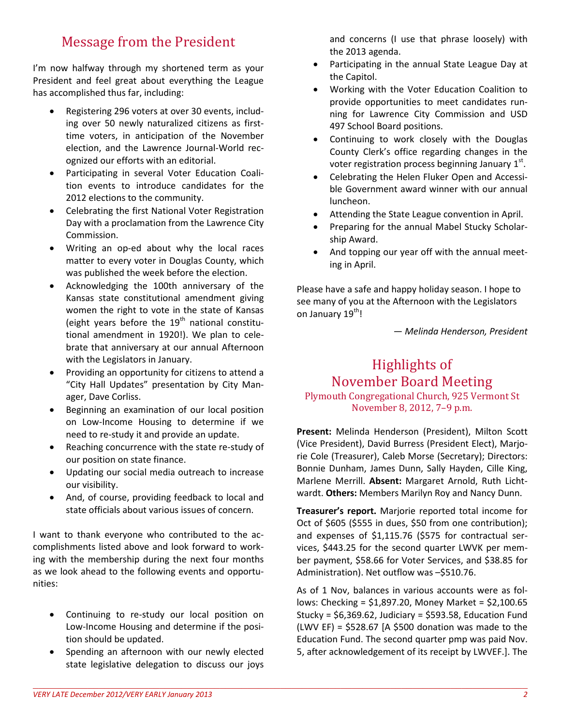## Message from the President

I'm now halfway through my shortened term as your President and feel great about everything the League has accomplished thus far, including:

- Registering 296 voters at over 30 events, including over 50 newly naturalized citizens as firsttime voters, in anticipation of the November election, and the Lawrence Journal-World recognized our efforts with an editorial.
- Participating in several Voter Education Coalition events to introduce candidates for the 2012 elections to the community.
- Celebrating the first National Voter Registration Day with a proclamation from the Lawrence City Commission.
- Writing an op-ed about why the local races matter to every voter in Douglas County, which was published the week before the election.
- Acknowledging the 100th anniversary of the Kansas state constitutional amendment giving women the right to vote in the state of Kansas (eight years before the  $19<sup>th</sup>$  national constitutional amendment in 1920!). We plan to celebrate that anniversary at our annual Afternoon with the Legislators in January.
- Providing an opportunity for citizens to attend a "City Hall Updates" presentation by City Manager, Dave Corliss.
- Beginning an examination of our local position on Low-Income Housing to determine if we need to re-study it and provide an update.
- Reaching concurrence with the state re-study of our position on state finance.
- Updating our social media outreach to increase our visibility.
- And, of course, providing feedback to local and state officials about various issues of concern.

I want to thank everyone who contributed to the accomplishments listed above and look forward to working with the membership during the next four months as we look ahead to the following events and opportunities:

- Continuing to re-study our local position on Low-Income Housing and determine if the position should be updated.
- Spending an afternoon with our newly elected state legislative delegation to discuss our joys

and concerns (I use that phrase loosely) with the 2013 agenda.

- Participating in the annual State League Day at the Capitol.
- Working with the Voter Education Coalition to provide opportunities to meet candidates running for Lawrence City Commission and USD 497 School Board positions.
- Continuing to work closely with the Douglas County Clerk's office regarding changes in the voter registration process beginning January  $1^{st}$ .
- Celebrating the Helen Fluker Open and Accessible Government award winner with our annual luncheon.
- Attending the State League convention in April.
- Preparing for the annual Mabel Stucky Scholarship Award.
- And topping our year off with the annual meeting in April.

Please have a safe and happy holiday season. I hope to see many of you at the Afternoon with the Legislators on January 19<sup>th</sup>!

*— Melinda Henderson, President* 

#### Highlights of November Board Meeting Plymouth Congregational Church, 925 Vermont St November 8, 2012, 7–9 p.m.

**Present:** Melinda Henderson (President), Milton Scott (Vice President), David Burress (President Elect), Marjorie Cole (Treasurer), Caleb Morse (Secretary); Directors: Bonnie Dunham, James Dunn, Sally Hayden, Cille King, Marlene Merrill. **Absent:** Margaret Arnold, Ruth Lichtwardt. **Others:** Members Marilyn Roy and Nancy Dunn.

**Treasurer's report.** Marjorie reported total income for Oct of \$605 (\$555 in dues, \$50 from one contribution); and expenses of \$1,115.76 (\$575 for contractual services, \$443.25 for the second quarter LWVK per member payment, \$58.66 for Voter Services, and \$38.85 for Administration). Net outflow was –\$510.76.

As of 1 Nov, balances in various accounts were as follows: Checking = \$1,897.20, Money Market = \$2,100.65 Stucky =  $$6,369.62$ , Judiciary =  $$593.58$ , Education Fund (LWV EF) =  $$528.67$  [A  $$500$  donation was made to the Education Fund. The second quarter pmp was paid Nov. 5, after acknowledgement of its receipt by LWVEF.]. The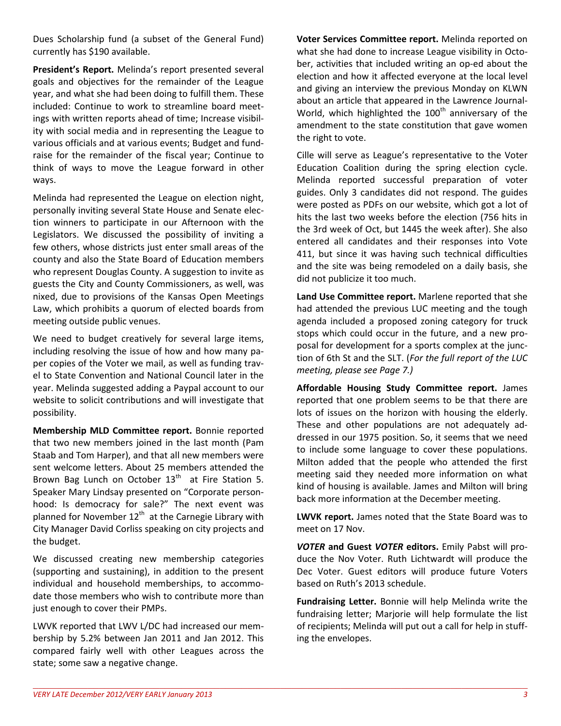Dues Scholarship fund (a subset of the General Fund) currently has \$190 available.

**President's Report.** Melinda's report presented several goals and objectives for the remainder of the League year, and what she had been doing to fulfill them. These included: Continue to work to streamline board meetings with written reports ahead of time; Increase visibility with social media and in representing the League to various officials and at various events; Budget and fundraise for the remainder of the fiscal year; Continue to think of ways to move the League forward in other ways.

Melinda had represented the League on election night, personally inviting several State House and Senate election winners to participate in our Afternoon with the Legislators. We discussed the possibility of inviting a few others, whose districts just enter small areas of the county and also the State Board of Education members who represent Douglas County. A suggestion to invite as guests the City and County Commissioners, as well, was nixed, due to provisions of the Kansas Open Meetings Law, which prohibits a quorum of elected boards from meeting outside public venues.

We need to budget creatively for several large items, including resolving the issue of how and how many paper copies of the Voter we mail, as well as funding travel to State Convention and National Council later in the year. Melinda suggested adding a Paypal account to our website to solicit contributions and will investigate that possibility.

**Membership MLD Committee report.** Bonnie reported that two new members joined in the last month (Pam Staab and Tom Harper), and that all new members were sent welcome letters. About 25 members attended the Brown Bag Lunch on October  $13<sup>th</sup>$  at Fire Station 5. Speaker Mary Lindsay presented on "Corporate personhood: Is democracy for sale?" The next event was planned for November  $12<sup>th</sup>$  at the Carnegie Library with City Manager David Corliss speaking on city projects and the budget.

We discussed creating new membership categories (supporting and sustaining), in addition to the present individual and household memberships, to accommodate those members who wish to contribute more than just enough to cover their PMPs.

LWVK reported that LWV L/DC had increased our membership by 5.2% between Jan 2011 and Jan 2012. This compared fairly well with other Leagues across the state; some saw a negative change.

**Voter Services Committee report.** Melinda reported on what she had done to increase League visibility in October, activities that included writing an op-ed about the election and how it affected everyone at the local level and giving an interview the previous Monday on KLWN about an article that appeared in the Lawrence Journal-World, which highlighted the  $100<sup>th</sup>$  anniversary of the amendment to the state constitution that gave women the right to vote.

Cille will serve as League's representative to the Voter Education Coalition during the spring election cycle. Melinda reported successful preparation of voter guides. Only 3 candidates did not respond. The guides were posted as PDFs on our website, which got a lot of hits the last two weeks before the election (756 hits in the 3rd week of Oct, but 1445 the week after). She also entered all candidates and their responses into Vote 411, but since it was having such technical difficulties and the site was being remodeled on a daily basis, she did not publicize it too much.

**Land Use Committee report.** Marlene reported that she had attended the previous LUC meeting and the tough agenda included a proposed zoning category for truck stops which could occur in the future, and a new proposal for development for a sports complex at the junction of 6th St and the SLT. (*For the full report of the LUC meeting, please see Page 7.)* 

**Affordable Housing Study Committee report.** James reported that one problem seems to be that there are lots of issues on the horizon with housing the elderly. These and other populations are not adequately addressed in our 1975 position. So, it seems that we need to include some language to cover these populations. Milton added that the people who attended the first meeting said they needed more information on what kind of housing is available. James and Milton will bring back more information at the December meeting.

**LWVK report.** James noted that the State Board was to meet on 17 Nov.

*VOTER* **and Guest** *VOTER* **editors.** Emily Pabst will produce the Nov Voter. Ruth Lichtwardt will produce the Dec Voter. Guest editors will produce future Voters based on Ruth's 2013 schedule.

**Fundraising Letter.** Bonnie will help Melinda write the fundraising letter; Marjorie will help formulate the list of recipients; Melinda will put out a call for help in stuffing the envelopes.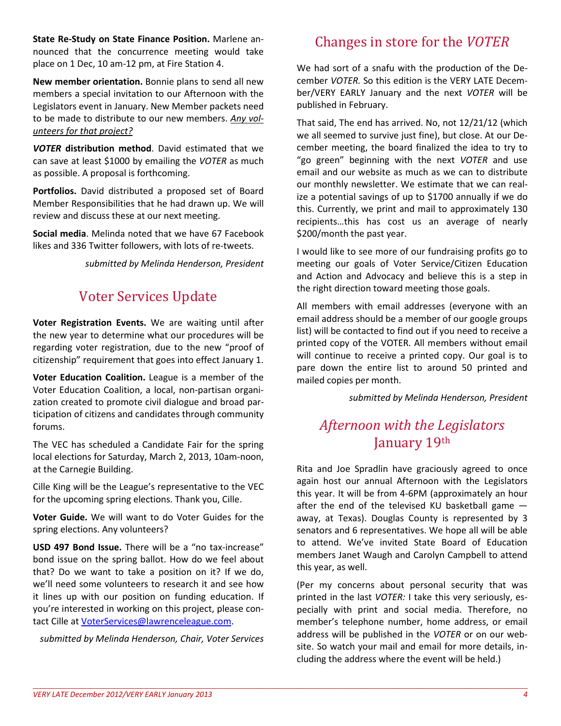**State Re-Study on State Finance Position.** Marlene announced that the concurrence meeting would take place on 1 Dec, 10 am-12 pm, at Fire Station 4.

**New member orientation.** Bonnie plans to send all new members a special invitation to our Afternoon with the Legislators event in January. New Member packets need to be made to distribute to our new members. *Any volunteers for that project?* 

*VOTER* **distribution method**. David estimated that we can save at least \$1000 by emailing the *VOTER* as much as possible. A proposal is forthcoming.

**Portfolios.** David distributed a proposed set of Board Member Responsibilities that he had drawn up. We will review and discuss these at our next meeting.

**Social media**. Melinda noted that we have 67 Facebook likes and 336 Twitter followers, with lots of re-tweets.

*submitted by Melinda Henderson, President* 

## Voter Services Update

**Voter Registration Events.** We are waiting until after the new year to determine what our procedures will be regarding voter registration, due to the new "proof of citizenship" requirement that goes into effect January 1.

**Voter Education Coalition.** League is a member of the Voter Education Coalition, a local, non-partisan organization created to promote civil dialogue and broad participation of citizens and candidates through community forums.

The VEC has scheduled a Candidate Fair for the spring local elections for Saturday, March 2, 2013, 10am-noon, at the Carnegie Building.

Cille King will be the League's representative to the VEC for the upcoming spring elections. Thank you, Cille.

**Voter Guide.** We will want to do Voter Guides for the spring elections. Any volunteers?

**USD 497 Bond Issue.** There will be a "no tax-increase" bond issue on the spring ballot. How do we feel about that? Do we want to take a position on it? If we do, we'll need some volunteers to research it and see how it lines up with our position on funding education. If you're interested in working on this project, please contact Cille at VoterServices@lawrenceleague.com.

*submitted by Melinda Henderson, Chair, Voter Services* 

## Changes in store for the *VOTER*

We had sort of a snafu with the production of the December *VOTER.* So this edition is the VERY LATE December/VERY EARLY January and the next *VOTER* will be published in February.

That said, The end has arrived. No, not 12/21/12 (which we all seemed to survive just fine), but close. At our December meeting, the board finalized the idea to try to "go green" beginning with the next *VOTER* and use email and our website as much as we can to distribute our monthly newsletter. We estimate that we can realize a potential savings of up to \$1700 annually if we do this. Currently, we print and mail to approximately 130 recipients…this has cost us an average of nearly \$200/month the past year.

I would like to see more of our fundraising profits go to meeting our goals of Voter Service/Citizen Education and Action and Advocacy and believe this is a step in the right direction toward meeting those goals.

All members with email addresses (everyone with an email address should be a member of our google groups list) will be contacted to find out if you need to receive a printed copy of the VOTER. All members without email will continue to receive a printed copy. Our goal is to pare down the entire list to around 50 printed and mailed copies per month.

*submitted by Melinda Henderson, President* 

## *Afternoon with the Legislators*  January 19th

Rita and Joe Spradlin have graciously agreed to once again host our annual Afternoon with the Legislators this year. It will be from 4-6PM (approximately an hour after the end of the televised KU basketball game away, at Texas). Douglas County is represented by 3 senators and 6 representatives. We hope all will be able to attend. We've invited State Board of Education members Janet Waugh and Carolyn Campbell to attend this year, as well.

(Per my concerns about personal security that was printed in the last *VOTER:* I take this very seriously, especially with print and social media. Therefore, no member's telephone number, home address, or email address will be published in the *VOTER* or on our website. So watch your mail and email for more details, including the address where the event will be held.)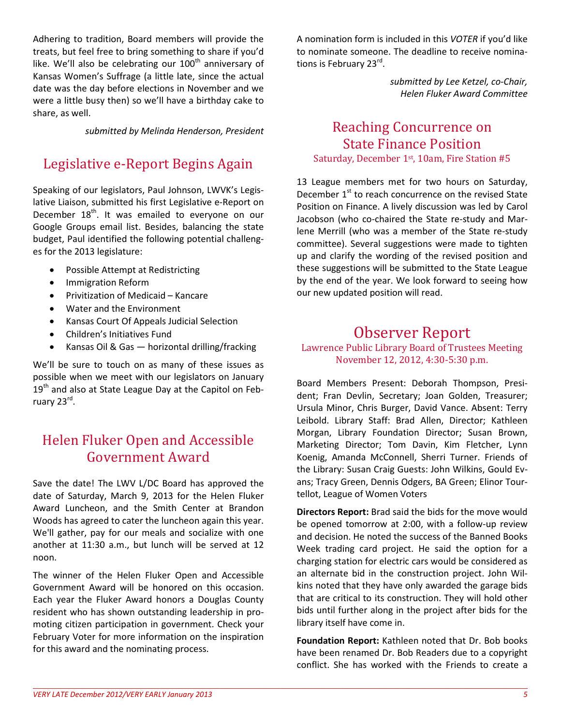Adhering to tradition, Board members will provide the treats, but feel free to bring something to share if you'd like. We'll also be celebrating our 100<sup>th</sup> anniversary of Kansas Women's Suffrage (a little late, since the actual date was the day before elections in November and we were a little busy then) so we'll have a birthday cake to share, as well.

*submitted by Melinda Henderson, President* 

## Legislative e-Report Begins Again

Speaking of our legislators, Paul Johnson, LWVK's Legislative Liaison, submitted his first Legislative e-Report on December  $18<sup>th</sup>$ . It was emailed to everyone on our Google Groups email list. Besides, balancing the state budget, Paul identified the following potential challenges for the 2013 legislature:

- Possible Attempt at Redistricting
- Immigration Reform
- Privitization of Medicaid Kancare
- Water and the Environment
- Kansas Court Of Appeals Judicial Selection
- Children's Initiatives Fund
- Kansas Oil & Gas horizontal drilling/fracking

We'll be sure to touch on as many of these issues as possible when we meet with our legislators on January 19<sup>th</sup> and also at State League Day at the Capitol on February 23<sup>rd</sup>.

## Helen Fluker Open and Accessible Government Award

Save the date! The LWV L/DC Board has approved the date of Saturday, March 9, 2013 for the Helen Fluker Award Luncheon, and the Smith Center at Brandon Woods has agreed to cater the luncheon again this year. We'll gather, pay for our meals and socialize with one another at 11:30 a.m., but lunch will be served at 12 noon.

The winner of the Helen Fluker Open and Accessible Government Award will be honored on this occasion. Each year the Fluker Award honors a Douglas County resident who has shown outstanding leadership in promoting citizen participation in government. Check your February Voter for more information on the inspiration for this award and the nominating process.

A nomination form is included in this *VOTER* if you'd like to nominate someone. The deadline to receive nominations is February 23<sup>rd</sup>.

> *submitted by Lee Ketzel, co-Chair, Helen Fluker Award Committee*

#### Reaching Concurrence on State Finance Position Saturday, December 1st, 10am, Fire Station #5

13 League members met for two hours on Saturday, December  $1<sup>st</sup>$  to reach concurrence on the revised State Position on Finance. A lively discussion was led by Carol Jacobson (who co-chaired the State re-study and Marlene Merrill (who was a member of the State re-study committee). Several suggestions were made to tighten up and clarify the wording of the revised position and these suggestions will be submitted to the State League by the end of the year. We look forward to seeing how our new updated position will read.

## Observer Report

Lawrence Public Library Board of Trustees Meeting November 12, 2012, 4:30-5:30 p.m.

Board Members Present: Deborah Thompson, President; Fran Devlin, Secretary; Joan Golden, Treasurer; Ursula Minor, Chris Burger, David Vance. Absent: Terry Leibold. Library Staff: Brad Allen, Director; Kathleen Morgan, Library Foundation Director; Susan Brown, Marketing Director; Tom Davin, Kim Fletcher, Lynn Koenig, Amanda McConnell, Sherri Turner. Friends of the Library: Susan Craig Guests: John Wilkins, Gould Evans; Tracy Green, Dennis Odgers, BA Green; Elinor Tourtellot, League of Women Voters

**Directors Report:** Brad said the bids for the move would be opened tomorrow at 2:00, with a follow-up review and decision. He noted the success of the Banned Books Week trading card project. He said the option for a charging station for electric cars would be considered as an alternate bid in the construction project. John Wilkins noted that they have only awarded the garage bids that are critical to its construction. They will hold other bids until further along in the project after bids for the library itself have come in.

**Foundation Report:** Kathleen noted that Dr. Bob books have been renamed Dr. Bob Readers due to a copyright conflict. She has worked with the Friends to create a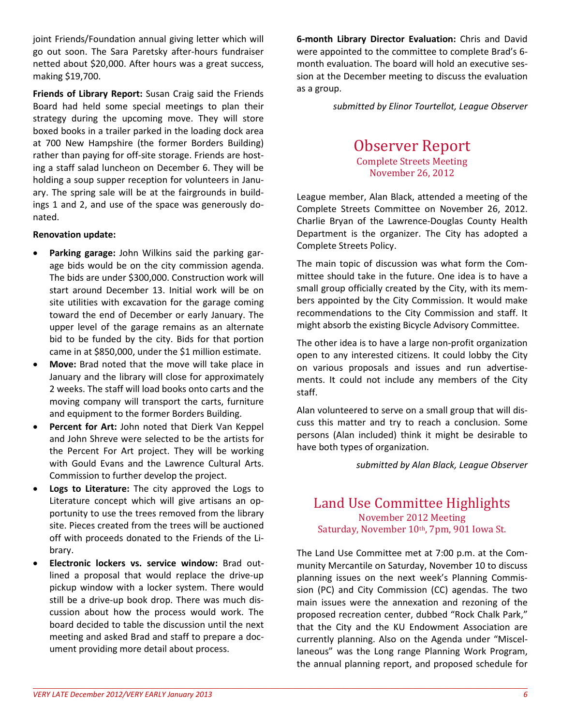joint Friends/Foundation annual giving letter which will go out soon. The Sara Paretsky after-hours fundraiser netted about \$20,000. After hours was a great success, making \$19,700.

**Friends of Library Report:** Susan Craig said the Friends Board had held some special meetings to plan their strategy during the upcoming move. They will store boxed books in a trailer parked in the loading dock area at 700 New Hampshire (the former Borders Building) rather than paying for off-site storage. Friends are hosting a staff salad luncheon on December 6. They will be holding a soup supper reception for volunteers in January. The spring sale will be at the fairgrounds in buildings 1 and 2, and use of the space was generously donated.

#### **Renovation update:**

- **Parking garage:** John Wilkins said the parking garage bids would be on the city commission agenda. The bids are under \$300,000. Construction work will start around December 13. Initial work will be on site utilities with excavation for the garage coming toward the end of December or early January. The upper level of the garage remains as an alternate bid to be funded by the city. Bids for that portion came in at \$850,000, under the \$1 million estimate.
- **Move:** Brad noted that the move will take place in January and the library will close for approximately 2 weeks. The staff will load books onto carts and the moving company will transport the carts, furniture and equipment to the former Borders Building.
- **Percent for Art:** John noted that Dierk Van Keppel and John Shreve were selected to be the artists for the Percent For Art project. They will be working with Gould Evans and the Lawrence Cultural Arts. Commission to further develop the project.
- **Logs to Literature:** The city approved the Logs to Literature concept which will give artisans an opportunity to use the trees removed from the library site. Pieces created from the trees will be auctioned off with proceeds donated to the Friends of the Library.
- **Electronic lockers vs. service window:** Brad outlined a proposal that would replace the drive-up pickup window with a locker system. There would still be a drive-up book drop. There was much discussion about how the process would work. The board decided to table the discussion until the next meeting and asked Brad and staff to prepare a document providing more detail about process.

**6-month Library Director Evaluation:** Chris and David were appointed to the committee to complete Brad's 6 month evaluation. The board will hold an executive session at the December meeting to discuss the evaluation as a group.

*submitted by Elinor Tourtellot, League Observer* 

#### Observer Report Complete Streets Meeting November 26, 2012

League member, Alan Black, attended a meeting of the Complete Streets Committee on November 26, 2012. Charlie Bryan of the Lawrence-Douglas County Health Department is the organizer. The City has adopted a Complete Streets Policy.

The main topic of discussion was what form the Committee should take in the future. One idea is to have a small group officially created by the City, with its members appointed by the City Commission. It would make recommendations to the City Commission and staff. It might absorb the existing Bicycle Advisory Committee.

The other idea is to have a large non-profit organization open to any interested citizens. It could lobby the City on various proposals and issues and run advertisements. It could not include any members of the City staff.

Alan volunteered to serve on a small group that will discuss this matter and try to reach a conclusion. Some persons (Alan included) think it might be desirable to have both types of organization.

*submitted by Alan Black, League Observer* 

#### Land Use Committee Highlights November 2012 Meeting Saturday, November 10th, 7pm, 901 Iowa St.

The Land Use Committee met at 7:00 p.m. at the Community Mercantile on Saturday, November 10 to discuss planning issues on the next week's Planning Commission (PC) and City Commission (CC) agendas. The two main issues were the annexation and rezoning of the proposed recreation center, dubbed "Rock Chalk Park," that the City and the KU Endowment Association are currently planning. Also on the Agenda under "Miscellaneous" was the Long range Planning Work Program, the annual planning report, and proposed schedule for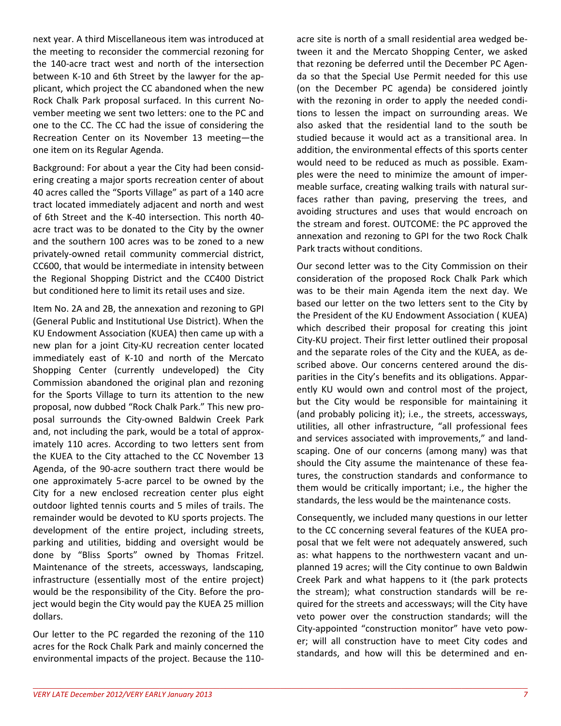next year. A third Miscellaneous item was introduced at the meeting to reconsider the commercial rezoning for the 140-acre tract west and north of the intersection between K-10 and 6th Street by the lawyer for the applicant, which project the CC abandoned when the new Rock Chalk Park proposal surfaced. In this current November meeting we sent two letters: one to the PC and one to the CC. The CC had the issue of considering the Recreation Center on its November 13 meeting—the one item on its Regular Agenda.

Background: For about a year the City had been considering creating a major sports recreation center of about 40 acres called the "Sports Village" as part of a 140 acre tract located immediately adjacent and north and west of 6th Street and the K-40 intersection. This north 40 acre tract was to be donated to the City by the owner and the southern 100 acres was to be zoned to a new privately-owned retail community commercial district, CC600, that would be intermediate in intensity between the Regional Shopping District and the CC400 District but conditioned here to limit its retail uses and size.

Item No. 2A and 2B, the annexation and rezoning to GPI (General Public and Institutional Use District). When the KU Endowment Association (KUEA) then came up with a new plan for a joint City-KU recreation center located immediately east of K-10 and north of the Mercato Shopping Center (currently undeveloped) the City Commission abandoned the original plan and rezoning for the Sports Village to turn its attention to the new proposal, now dubbed "Rock Chalk Park." This new proposal surrounds the City-owned Baldwin Creek Park and, not including the park, would be a total of approximately 110 acres. According to two letters sent from the KUEA to the City attached to the CC November 13 Agenda, of the 90-acre southern tract there would be one approximately 5-acre parcel to be owned by the City for a new enclosed recreation center plus eight outdoor lighted tennis courts and 5 miles of trails. The remainder would be devoted to KU sports projects. The development of the entire project, including streets, parking and utilities, bidding and oversight would be done by "Bliss Sports" owned by Thomas Fritzel. Maintenance of the streets, accessways, landscaping, infrastructure (essentially most of the entire project) would be the responsibility of the City. Before the project would begin the City would pay the KUEA 25 million dollars.

Our letter to the PC regarded the rezoning of the 110 acres for the Rock Chalk Park and mainly concerned the environmental impacts of the project. Because the 110acre site is north of a small residential area wedged between it and the Mercato Shopping Center, we asked that rezoning be deferred until the December PC Agenda so that the Special Use Permit needed for this use (on the December PC agenda) be considered jointly with the rezoning in order to apply the needed conditions to lessen the impact on surrounding areas. We also asked that the residential land to the south be studied because it would act as a transitional area. In addition, the environmental effects of this sports center would need to be reduced as much as possible. Examples were the need to minimize the amount of impermeable surface, creating walking trails with natural surfaces rather than paving, preserving the trees, and avoiding structures and uses that would encroach on the stream and forest. OUTCOME: the PC approved the annexation and rezoning to GPI for the two Rock Chalk Park tracts without conditions.

Our second letter was to the City Commission on their consideration of the proposed Rock Chalk Park which was to be their main Agenda item the next day. We based our letter on the two letters sent to the City by the President of the KU Endowment Association ( KUEA) which described their proposal for creating this joint City-KU project. Their first letter outlined their proposal and the separate roles of the City and the KUEA, as described above. Our concerns centered around the disparities in the City's benefits and its obligations. Apparently KU would own and control most of the project, but the City would be responsible for maintaining it (and probably policing it); i.e., the streets, accessways, utilities, all other infrastructure, "all professional fees and services associated with improvements," and landscaping. One of our concerns (among many) was that should the City assume the maintenance of these features, the construction standards and conformance to them would be critically important; i.e., the higher the standards, the less would be the maintenance costs.

Consequently, we included many questions in our letter to the CC concerning several features of the KUEA proposal that we felt were not adequately answered, such as: what happens to the northwestern vacant and unplanned 19 acres; will the City continue to own Baldwin Creek Park and what happens to it (the park protects the stream); what construction standards will be required for the streets and accessways; will the City have veto power over the construction standards; will the City-appointed "construction monitor" have veto power; will all construction have to meet City codes and standards, and how will this be determined and en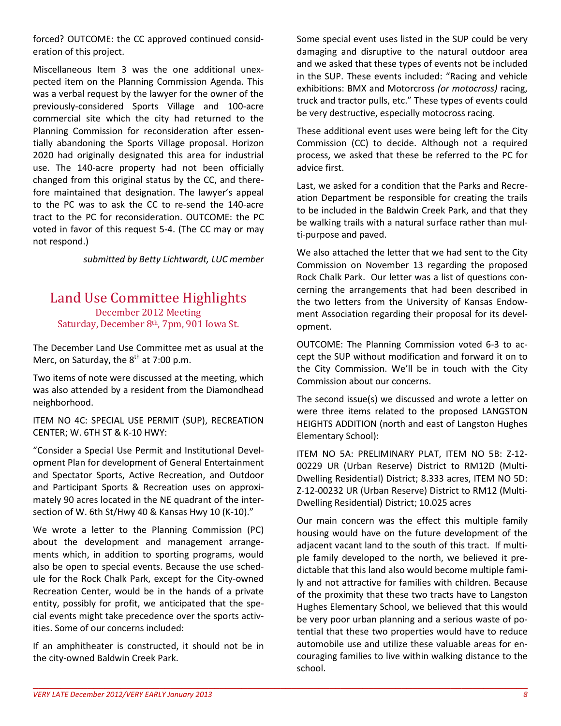forced? OUTCOME: the CC approved continued consideration of this project.

Miscellaneous Item 3 was the one additional unexpected item on the Planning Commission Agenda. This was a verbal request by the lawyer for the owner of the previously-considered Sports Village and 100-acre commercial site which the city had returned to the Planning Commission for reconsideration after essentially abandoning the Sports Village proposal. Horizon 2020 had originally designated this area for industrial use. The 140-acre property had not been officially changed from this original status by the CC, and therefore maintained that designation. The lawyer's appeal to the PC was to ask the CC to re-send the 140-acre tract to the PC for reconsideration. OUTCOME: the PC voted in favor of this request 5-4. (The CC may or may not respond.)

*submitted by Betty Lichtwardt, LUC member* 

#### Land Use Committee Highlights December 2012 Meeting Saturday, December 8th, 7pm, 901 Iowa St.

The December Land Use Committee met as usual at the Merc, on Saturday, the  $8<sup>th</sup>$  at 7:00 p.m.

Two items of note were discussed at the meeting, which was also attended by a resident from the Diamondhead neighborhood.

ITEM NO 4C: SPECIAL USE PERMIT (SUP), RECREATION CENTER; W. 6TH ST & K-10 HWY:

"Consider a Special Use Permit and Institutional Development Plan for development of General Entertainment and Spectator Sports, Active Recreation, and Outdoor and Participant Sports & Recreation uses on approximately 90 acres located in the NE quadrant of the intersection of W. 6th St/Hwy 40 & Kansas Hwy 10 (K-10)."

We wrote a letter to the Planning Commission (PC) about the development and management arrangements which, in addition to sporting programs, would also be open to special events. Because the use schedule for the Rock Chalk Park, except for the City-owned Recreation Center, would be in the hands of a private entity, possibly for profit, we anticipated that the special events might take precedence over the sports activities. Some of our concerns included:

If an amphitheater is constructed, it should not be in the city-owned Baldwin Creek Park.

Some special event uses listed in the SUP could be very damaging and disruptive to the natural outdoor area and we asked that these types of events not be included in the SUP. These events included: "Racing and vehicle exhibitions: BMX and Motorcross *(or motocross)* racing, truck and tractor pulls, etc." These types of events could be very destructive, especially motocross racing.

These additional event uses were being left for the City Commission (CC) to decide. Although not a required process, we asked that these be referred to the PC for advice first.

Last, we asked for a condition that the Parks and Recreation Department be responsible for creating the trails to be included in the Baldwin Creek Park, and that they be walking trails with a natural surface rather than multi-purpose and paved.

We also attached the letter that we had sent to the City Commission on November 13 regarding the proposed Rock Chalk Park. Our letter was a list of questions concerning the arrangements that had been described in the two letters from the University of Kansas Endowment Association regarding their proposal for its development.

OUTCOME: The Planning Commission voted 6-3 to accept the SUP without modification and forward it on to the City Commission. We'll be in touch with the City Commission about our concerns.

The second issue(s) we discussed and wrote a letter on were three items related to the proposed LANGSTON HEIGHTS ADDITION (north and east of Langston Hughes Elementary School):

ITEM NO 5A: PRELIMINARY PLAT, ITEM NO 5B: Z-12- 00229 UR (Urban Reserve) District to RM12D (Multi-Dwelling Residential) District; 8.333 acres, ITEM NO 5D: Z-12-00232 UR (Urban Reserve) District to RM12 (Multi-Dwelling Residential) District; 10.025 acres

Our main concern was the effect this multiple family housing would have on the future development of the adjacent vacant land to the south of this tract. If multiple family developed to the north, we believed it predictable that this land also would become multiple family and not attractive for families with children. Because of the proximity that these two tracts have to Langston Hughes Elementary School, we believed that this would be very poor urban planning and a serious waste of potential that these two properties would have to reduce automobile use and utilize these valuable areas for encouraging families to live within walking distance to the school.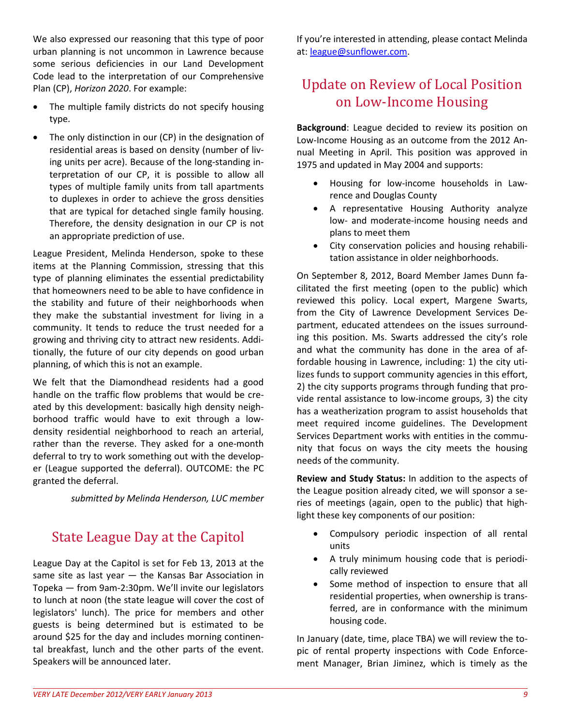We also expressed our reasoning that this type of poor urban planning is not uncommon in Lawrence because some serious deficiencies in our Land Development Code lead to the interpretation of our Comprehensive Plan (CP), *Horizon 2020*. For example:

- The multiple family districts do not specify housing type.
- The only distinction in our (CP) in the designation of residential areas is based on density (number of living units per acre). Because of the long-standing interpretation of our CP, it is possible to allow all types of multiple family units from tall apartments to duplexes in order to achieve the gross densities that are typical for detached single family housing. Therefore, the density designation in our CP is not an appropriate prediction of use.

League President, Melinda Henderson, spoke to these items at the Planning Commission, stressing that this type of planning eliminates the essential predictability that homeowners need to be able to have confidence in the stability and future of their neighborhoods when they make the substantial investment for living in a community. It tends to reduce the trust needed for a growing and thriving city to attract new residents. Additionally, the future of our city depends on good urban planning, of which this is not an example.

We felt that the Diamondhead residents had a good handle on the traffic flow problems that would be created by this development: basically high density neighborhood traffic would have to exit through a lowdensity residential neighborhood to reach an arterial, rather than the reverse. They asked for a one-month deferral to try to work something out with the developer (League supported the deferral). OUTCOME: the PC granted the deferral.

*submitted by Melinda Henderson, LUC member* 

## State League Day at the Capitol

League Day at the Capitol is set for Feb 13, 2013 at the same site as last year — the Kansas Bar Association in Topeka — from 9am-2:30pm. We'll invite our legislators to lunch at noon (the state league will cover the cost of legislators' lunch). The price for members and other guests is being determined but is estimated to be around \$25 for the day and includes morning continental breakfast, lunch and the other parts of the event. Speakers will be announced later.

If you're interested in attending, please contact Melinda at: league@sunflower.com.

## Update on Review of Local Position on Low-Income Housing

**Background**: League decided to review its position on Low-Income Housing as an outcome from the 2012 Annual Meeting in April. This position was approved in 1975 and updated in May 2004 and supports:

- Housing for low-income households in Lawrence and Douglas County
- A representative Housing Authority analyze low- and moderate-income housing needs and plans to meet them
- City conservation policies and housing rehabilitation assistance in older neighborhoods.

On September 8, 2012, Board Member James Dunn facilitated the first meeting (open to the public) which reviewed this policy. Local expert, Margene Swarts, from the City of Lawrence Development Services Department, educated attendees on the issues surrounding this position. Ms. Swarts addressed the city's role and what the community has done in the area of affordable housing in Lawrence, including: 1) the city utilizes funds to support community agencies in this effort, 2) the city supports programs through funding that provide rental assistance to low-income groups, 3) the city has a weatherization program to assist households that meet required income guidelines. The Development Services Department works with entities in the community that focus on ways the city meets the housing needs of the community.

**Review and Study Status:** In addition to the aspects of the League position already cited, we will sponsor a series of meetings (again, open to the public) that highlight these key components of our position:

- Compulsory periodic inspection of all rental units
- A truly minimum housing code that is periodically reviewed
- Some method of inspection to ensure that all residential properties, when ownership is transferred, are in conformance with the minimum housing code.

In January (date, time, place TBA) we will review the topic of rental property inspections with Code Enforcement Manager, Brian Jiminez, which is timely as the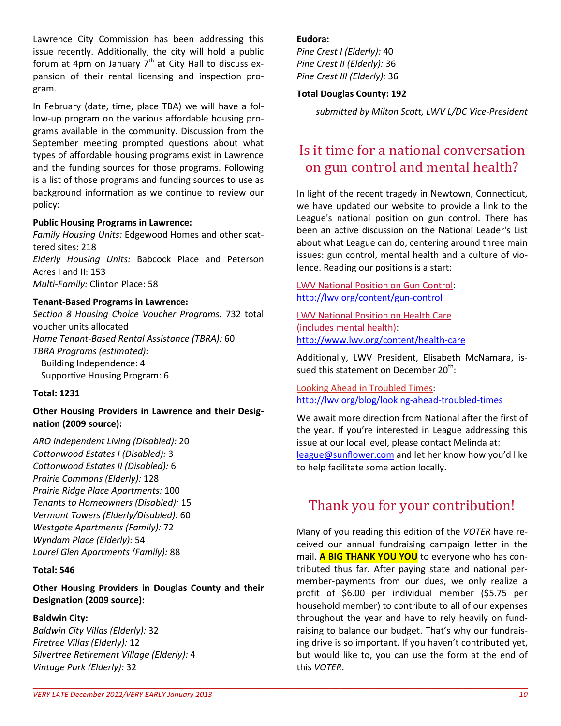Lawrence City Commission has been addressing this issue recently. Additionally, the city will hold a public forum at 4pm on January  $7<sup>th</sup>$  at City Hall to discuss expansion of their rental licensing and inspection program.

In February (date, time, place TBA) we will have a follow-up program on the various affordable housing programs available in the community. Discussion from the September meeting prompted questions about what types of affordable housing programs exist in Lawrence and the funding sources for those programs. Following is a list of those programs and funding sources to use as background information as we continue to review our policy:

#### **Public Housing Programs in Lawrence:**

*Family Housing Units:* Edgewood Homes and other scattered sites: 218 *Elderly Housing Units:* Babcock Place and Peterson Acres I and II: 153 *Multi-Family:* Clinton Place: 58

#### **Tenant-Based Programs in Lawrence:**

*Section 8 Housing Choice Voucher Programs:* 732 total voucher units allocated *Home Tenant-Based Rental Assistance (TBRA):* 60 *TBRA Programs (estimated):*  Building Independence: 4 Supportive Housing Program: 6

#### **Total: 1231**

**Other Housing Providers in Lawrence and their Designation (2009 source):**

*ARO Independent Living (Disabled):* 20 *Cottonwood Estates I (Disabled):* 3 *Cottonwood Estates II (Disabled):* 6 *Prairie Commons (Elderly):* 128 *Prairie Ridge Place Apartments:* 100 *Tenants to Homeowners (Disabled):* 15 *Vermont Towers (Elderly/Disabled):* 60 *Westgate Apartments (Family):* 72 *Wyndam Place (Elderly):* 54 *Laurel Glen Apartments (Family):* 88

#### **Total: 546**

**Other Housing Providers in Douglas County and their Designation (2009 source):** 

#### **Baldwin City:**

*Baldwin City Villas (Elderly):* 32 *Firetree Villas (Elderly):* 12 *Silvertree Retirement Village (Elderly):* 4 *Vintage Park (Elderly):* 32

#### **Eudora:**

*Pine Crest I (Elderly):* 40 *Pine Crest II (Elderly):* 36 *Pine Crest III (Elderly):* 36

#### **Total Douglas County: 192**

*submitted by Milton Scott, LWV L/DC Vice-President* 

## Is it time for a national conversation on gun control and mental health?

In light of the recent tragedy in Newtown, Connecticut, we have updated our website to provide a link to the League's national position on gun control. There has been an active discussion on the National Leader's List about what League can do, centering around three main issues: gun control, mental health and a culture of violence. Reading our positions is a start:

LWV National Position on Gun Control: http://lwv.org/content/gun-control

LWV National Position on Health Care (includes mental health): http://www.lwv.org/content/health-care

Additionally, LWV President, Elisabeth McNamara, issued this statement on December 20<sup>th</sup>:

Looking Ahead in Troubled Times: http://lwv.org/blog/looking-ahead-troubled-times

We await more direction from National after the first of the year. If you're interested in League addressing this issue at our local level, please contact Melinda at: league@sunflower.com and let her know how you'd like to help facilitate some action locally.

#### Thank you for your contribution!

Many of you reading this edition of the *VOTER* have received our annual fundraising campaign letter in the mail. **A BIG THANK YOU YOU** to everyone who has contributed thus far. After paying state and national permember-payments from our dues, we only realize a profit of \$6.00 per individual member (\$5.75 per household member) to contribute to all of our expenses throughout the year and have to rely heavily on fundraising to balance our budget. That's why our fundraising drive is so important. If you haven't contributed yet, but would like to, you can use the form at the end of this *VOTER*.

 $\_$  , and the set of the set of the set of the set of the set of the set of the set of the set of the set of the set of the set of the set of the set of the set of the set of the set of the set of the set of the set of th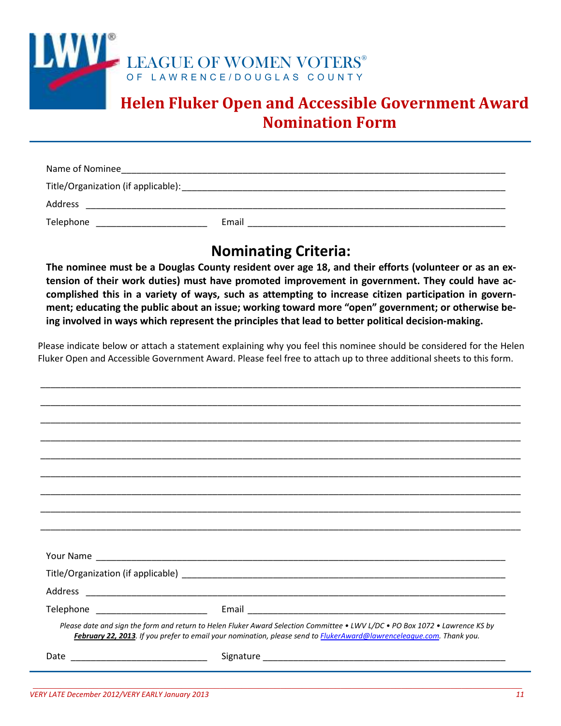

## **Helen Fluker Open and Accessible Government Award Nomination Form**

| Name of Nominee                     |       |
|-------------------------------------|-------|
| Title/Organization (if applicable): |       |
| Address                             |       |
| Telephone                           | Email |

## **Nominating Criteria:**

**The nominee must be a Douglas County resident over age 18, and their efforts (volunteer or as an extension of their work duties) must have promoted improvement in government. They could have accomplished this in a variety of ways, such as attempting to increase citizen participation in government; educating the public about an issue; working toward more "open" government; or otherwise being involved in ways which represent the principles that lead to better political decision-making.** 

Please indicate below or attach a statement explaining why you feel this nominee should be considered for the Helen Fluker Open and Accessible Government Award. Please feel free to attach up to three additional sheets to this form.

\_\_\_\_\_\_\_\_\_\_\_\_\_\_\_\_\_\_\_\_\_\_\_\_\_\_\_\_\_\_\_\_\_\_\_\_\_\_\_\_\_\_\_\_\_\_\_\_\_\_\_\_\_\_\_\_\_\_\_\_\_\_\_\_\_\_\_\_\_\_\_\_\_\_\_\_\_\_\_\_\_\_\_\_\_\_\_\_\_\_\_\_\_\_\_

| Please date and sign the form and return to Helen Fluker Award Selection Committee • LWV L/DC • PO Box 1072 • Lawrence KS by<br>February 22, 2013. If you prefer to email your nomination, please send to <b>FlukerAward@lawrenceleague.com</b> . Thank you. |
|--------------------------------------------------------------------------------------------------------------------------------------------------------------------------------------------------------------------------------------------------------------|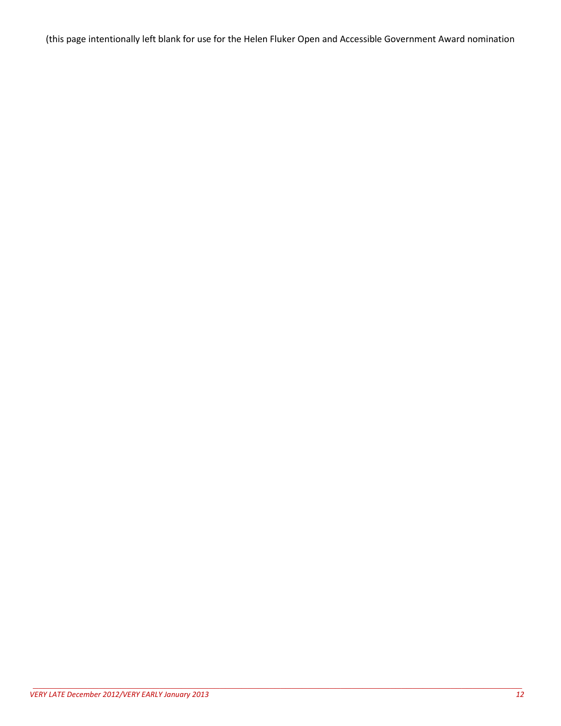(this page intentionally left blank for use for the Helen Fluker Open and Accessible Government Award nomination